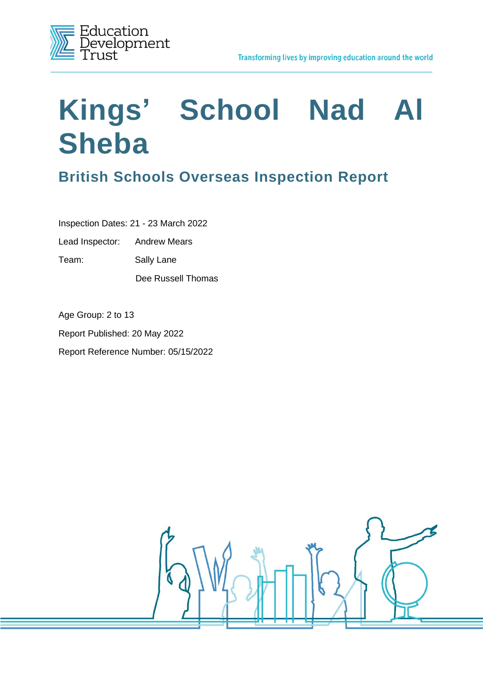

# **Kings' School Nad Al Sheba**

# **British Schools Overseas Inspection Report**

Inspection Dates: 21 - 23 March 2022

Lead Inspector: Andrew Mears

Team: Sally Lane

Dee Russell Thomas

Age Group: 2 to 13 Report Published: 20 May 2022 Report Reference Number: 05/15/2022

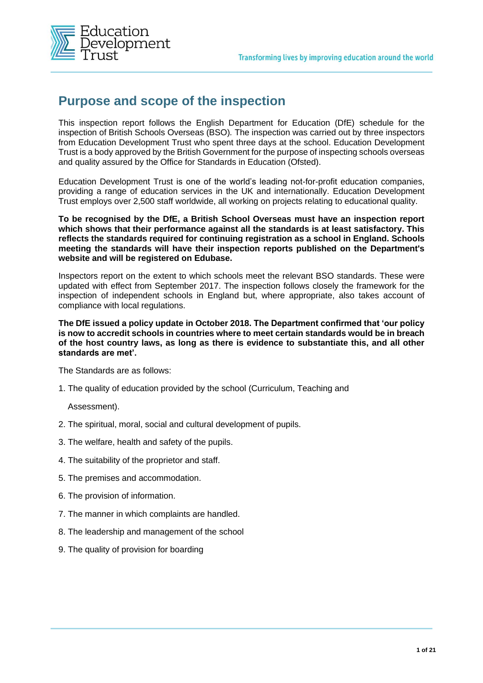

## **Purpose and scope of the inspection**

This inspection report follows the English Department for Education (DfE) schedule for the inspection of British Schools Overseas (BSO)*.* The inspection was carried out by three inspectors from Education Development Trust who spent three days at the school. Education Development Trust is a body approved by the British Government for the purpose of inspecting schools overseas and quality assured by the Office for Standards in Education (Ofsted).

Education Development Trust is one of the world's leading not-for-profit education companies, providing a range of education services in the UK and internationally. Education Development Trust employs over 2,500 staff worldwide, all working on projects relating to educational quality.

**To be recognised by the DfE, a British School Overseas must have an inspection report which shows that their performance against all the standards is at least satisfactory. This reflects the standards required for continuing registration as a school in England. Schools meeting the standards will have their inspection reports published on the Department's website and will be registered on Edubase.** 

Inspectors report on the extent to which schools meet the relevant BSO standards. These were updated with effect from September 2017. The inspection follows closely the framework for the inspection of independent schools in England but, where appropriate, also takes account of compliance with local regulations.

**The DfE issued a policy update in October 2018. The Department confirmed that 'our policy is now to accredit schools in countries where to meet certain standards would be in breach of the host country laws, as long as there is evidence to substantiate this, and all other standards are met'.** 

The Standards are as follows:

1. The quality of education provided by the school (Curriculum, Teaching and

Assessment).

- 2. The spiritual, moral, social and cultural development of pupils.
- 3. The welfare, health and safety of the pupils.
- 4. The suitability of the proprietor and staff.
- 5. The premises and accommodation.
- 6. The provision of information.
- 7. The manner in which complaints are handled.
- 8. The leadership and management of the school
- 9. The quality of provision for boarding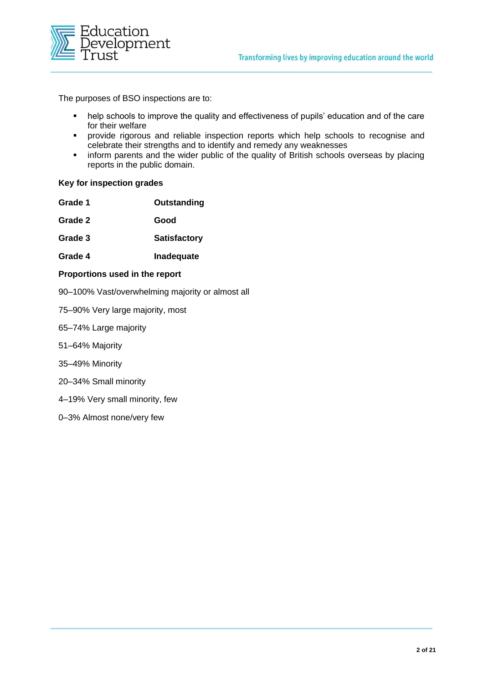

The purposes of BSO inspections are to:

- help schools to improve the quality and effectiveness of pupils' education and of the care for their welfare
- provide rigorous and reliable inspection reports which help schools to recognise and celebrate their strengths and to identify and remedy any weaknesses
- **.** inform parents and the wider public of the quality of British schools overseas by placing reports in the public domain.

#### **Key for inspection grades**

| Grade 1 | Outstanding         |
|---------|---------------------|
| Grade 2 | Good                |
| Grade 3 | <b>Satisfactory</b> |
| Grade 4 | Inadequate          |
|         |                     |

#### **Proportions used in the report**

- 90–100% Vast/overwhelming majority or almost all
- 75–90% Very large majority, most
- 65–74% Large majority
- 51–64% Majority
- 35–49% Minority
- 20–34% Small minority
- 4–19% Very small minority, few
- 0–3% Almost none/very few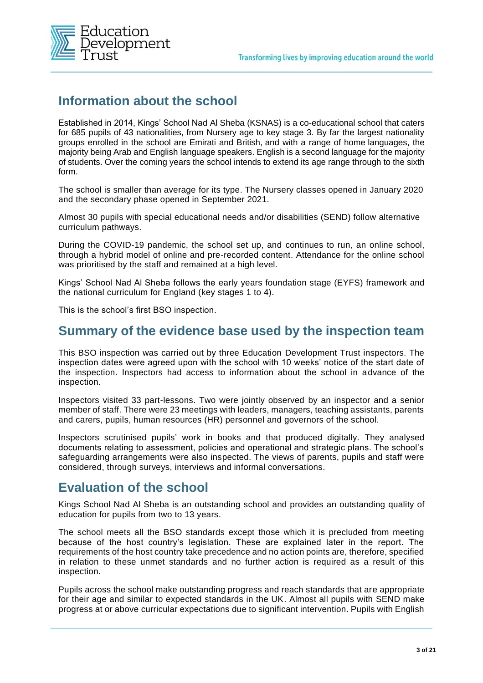

## **Information about the school**

Established in 2014, Kings' School Nad Al Sheba (KSNAS) is a co-educational school that caters for 685 pupils of 43 nationalities, from Nursery age to key stage 3. By far the largest nationality groups enrolled in the school are Emirati and British, and with a range of home languages, the majority being Arab and English language speakers. English is a second language for the majority of students. Over the coming years the school intends to extend its age range through to the sixth form.

The school is smaller than average for its type. The Nursery classes opened in January 2020 and the secondary phase opened in September 2021.

Almost 30 pupils with special educational needs and/or disabilities (SEND) follow alternative curriculum pathways.

During the COVID-19 pandemic, the school set up, and continues to run, an online school, through a hybrid model of online and pre-recorded content. Attendance for the online school was prioritised by the staff and remained at a high level.

Kings' School Nad Al Sheba follows the early years foundation stage (EYFS) framework and the national curriculum for England (key stages 1 to 4).

This is the school's first BSO inspection.

#### **Summary of the evidence base used by the inspection team**

This BSO inspection was carried out by three Education Development Trust inspectors. The inspection dates were agreed upon with the school with 10 weeks' notice of the start date of the inspection. Inspectors had access to information about the school in advance of the inspection.

Inspectors visited 33 part-lessons. Two were jointly observed by an inspector and a senior member of staff. There were 23 meetings with leaders, managers, teaching assistants, parents and carers, pupils, human resources (HR) personnel and governors of the school.

Inspectors scrutinised pupils' work in books and that produced digitally. They analysed documents relating to assessment, policies and operational and strategic plans. The school's safeguarding arrangements were also inspected. The views of parents, pupils and staff were considered, through surveys, interviews and informal conversations.

#### **Evaluation of the school**

Kings School Nad Al Sheba is an outstanding school and provides an outstanding quality of education for pupils from two to 13 years.

The school meets all the BSO standards except those which it is precluded from meeting because of the host country's legislation. These are explained later in the report. The requirements of the host country take precedence and no action points are, therefore, specified in relation to these unmet standards and no further action is required as a result of this inspection.

Pupils across the school make outstanding progress and reach standards that are appropriate for their age and similar to expected standards in the UK. Almost all pupils with SEND make progress at or above curricular expectations due to significant intervention. Pupils with English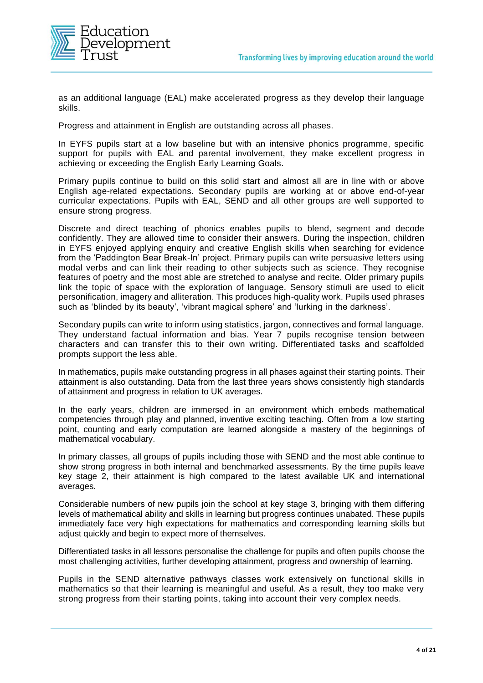

as an additional language (EAL) make accelerated progress as they develop their language skills.

Progress and attainment in English are outstanding across all phases.

In EYFS pupils start at a low baseline but with an intensive phonics programme, specific support for pupils with EAL and parental involvement, they make excellent progress in achieving or exceeding the English Early Learning Goals.

Primary pupils continue to build on this solid start and almost all are in line with or above English age-related expectations. Secondary pupils are working at or above end-of-year curricular expectations. Pupils with EAL, SEND and all other groups are well supported to ensure strong progress.

Discrete and direct teaching of phonics enables pupils to blend, segment and decode confidently. They are allowed time to consider their answers. During the inspection, children in EYFS enjoyed applying enquiry and creative English skills when searching for evidence from the 'Paddington Bear Break-In' project. Primary pupils can write persuasive letters using modal verbs and can link their reading to other subjects such as science. They recognise features of poetry and the most able are stretched to analyse and recite. Older primary pupils link the topic of space with the exploration of language. Sensory stimuli are used to elicit personification, imagery and alliteration. This produces high-quality work. Pupils used phrases such as 'blinded by its beauty', 'vibrant magical sphere' and 'lurking in the darkness'.

Secondary pupils can write to inform using statistics, jargon, connectives and formal language. They understand factual information and bias. Year 7 pupils recognise tension between characters and can transfer this to their own writing. Differentiated tasks and scaffolded prompts support the less able.

In mathematics, pupils make outstanding progress in all phases against their starting points. Their attainment is also outstanding. Data from the last three years shows consistently high standards of attainment and progress in relation to UK averages.

In the early years, children are immersed in an environment which embeds mathematical competencies through play and planned, inventive exciting teaching. Often from a low starting point, counting and early computation are learned alongside a mastery of the beginnings of mathematical vocabulary.

In primary classes, all groups of pupils including those with SEND and the most able continue to show strong progress in both internal and benchmarked assessments. By the time pupils leave key stage 2, their attainment is high compared to the latest available UK and international averages.

Considerable numbers of new pupils join the school at key stage 3, bringing with them differing levels of mathematical ability and skills in learning but progress continues unabated. These pupils immediately face very high expectations for mathematics and corresponding learning skills but adjust quickly and begin to expect more of themselves.

Differentiated tasks in all lessons personalise the challenge for pupils and often pupils choose the most challenging activities, further developing attainment, progress and ownership of learning.

Pupils in the SEND alternative pathways classes work extensively on functional skills in mathematics so that their learning is meaningful and useful. As a result, they too make very strong progress from their starting points, taking into account their very complex needs.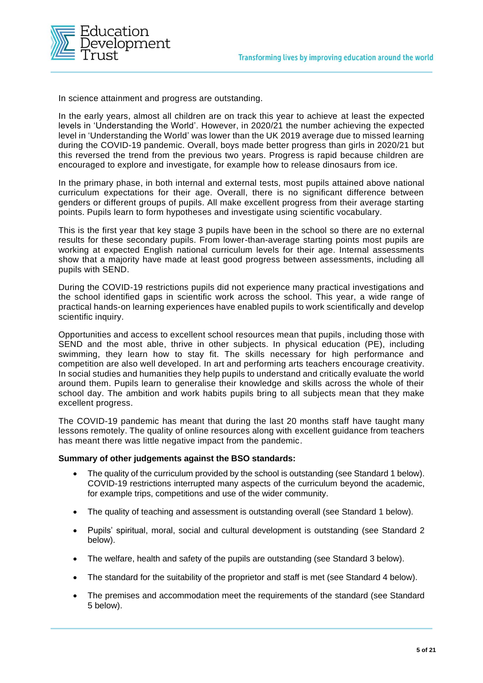

In science attainment and progress are outstanding.

In the early years, almost all children are on track this year to achieve at least the expected levels in 'Understanding the World'. However, in 2020/21 the number achieving the expected level in 'Understanding the World' was lower than the UK 2019 average due to missed learning during the COVID-19 pandemic. Overall, boys made better progress than girls in 2020/21 but this reversed the trend from the previous two years. Progress is rapid because children are encouraged to explore and investigate, for example how to release dinosaurs from ice.

In the primary phase, in both internal and external tests, most pupils attained above national curriculum expectations for their age. Overall, there is no significant difference between genders or different groups of pupils. All make excellent progress from their average starting points. Pupils learn to form hypotheses and investigate using scientific vocabulary.

This is the first year that key stage 3 pupils have been in the school so there are no external results for these secondary pupils. From lower-than-average starting points most pupils are working at expected English national curriculum levels for their age. Internal assessments show that a majority have made at least good progress between assessments, including all pupils with SEND.

During the COVID-19 restrictions pupils did not experience many practical investigations and the school identified gaps in scientific work across the school. This year, a wide range of practical hands-on learning experiences have enabled pupils to work scientifically and develop scientific inquiry.

Opportunities and access to excellent school resources mean that pupils, including those with SEND and the most able, thrive in other subjects. In physical education (PE), including swimming, they learn how to stay fit. The skills necessary for high performance and competition are also well developed. In art and performing arts teachers encourage creativity. In social studies and humanities they help pupils to understand and critically evaluate the world around them. Pupils learn to generalise their knowledge and skills across the whole of their school day. The ambition and work habits pupils bring to all subjects mean that they make excellent progress.

The COVID-19 pandemic has meant that during the last 20 months staff have taught many lessons remotely. The quality of online resources along with excellent guidance from teachers has meant there was little negative impact from the pandemic.

#### **Summary of other judgements against the BSO standards:**

- The quality of the curriculum provided by the school is outstanding (see Standard 1 below). COVID-19 restrictions interrupted many aspects of the curriculum beyond the academic, for example trips, competitions and use of the wider community.
- The quality of teaching and assessment is outstanding overall (see Standard 1 below).
- Pupils' spiritual, moral, social and cultural development is outstanding (see Standard 2 below).
- The welfare, health and safety of the pupils are outstanding (see Standard 3 below).
- The standard for the suitability of the proprietor and staff is met (see Standard 4 below).
- The premises and accommodation meet the requirements of the standard (see Standard 5 below).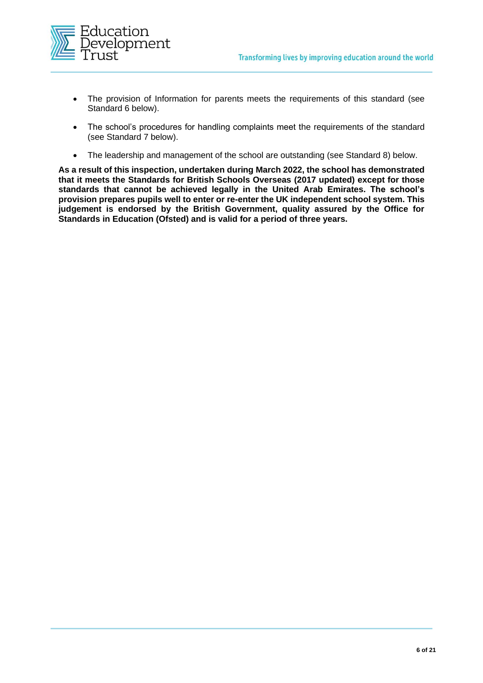

- The provision of Information for parents meets the requirements of this standard (see Standard 6 below).
- The school's procedures for handling complaints meet the requirements of the standard (see Standard 7 below).
- The leadership and management of the school are outstanding (see Standard 8) below.

**As a result of this inspection, undertaken during March 2022, the school has demonstrated that it meets the Standards for British Schools Overseas (2017 updated) except for those standards that cannot be achieved legally in the United Arab Emirates. The school's provision prepares pupils well to enter or re-enter the UK independent school system. This judgement is endorsed by the British Government, quality assured by the Office for Standards in Education (Ofsted) and is valid for a period of three years.**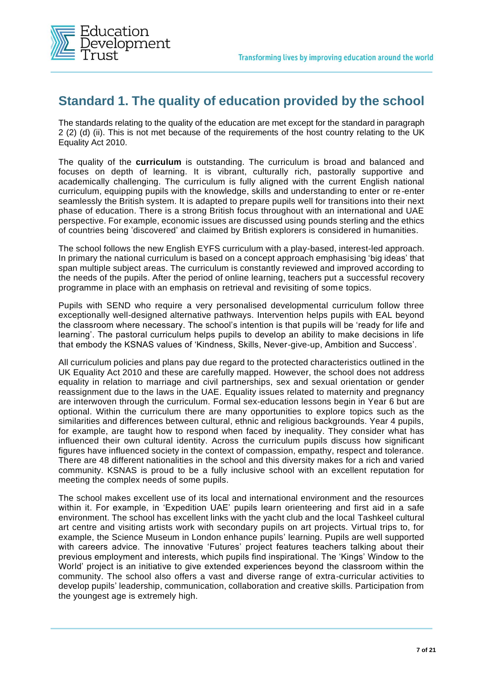

## **Standard 1. The quality of education provided by the school**

The standards relating to the quality of the education are met except for the standard in paragraph 2 (2) (d) (ii). This is not met because of the requirements of the host country relating to the UK Equality Act 2010.

The quality of the **curriculum** is outstanding. The curriculum is broad and balanced and focuses on depth of learning. It is vibrant, culturally rich, pastorally supportive and academically challenging. The curriculum is fully aligned with the current English national curriculum, equipping pupils with the knowledge, skills and understanding to enter or re-enter seamlessly the British system. It is adapted to prepare pupils well for transitions into their next phase of education. There is a strong British focus throughout with an international and UAE perspective. For example, economic issues are discussed using pounds sterling and the ethics of countries being 'discovered' and claimed by British explorers is considered in humanities.

The school follows the new English EYFS curriculum with a play-based, interest-led approach. In primary the national curriculum is based on a concept approach emphasising 'big ideas' that span multiple subject areas. The curriculum is constantly reviewed and improved according to the needs of the pupils. After the period of online learning, teachers put a successful recovery programme in place with an emphasis on retrieval and revisiting of some topics.

Pupils with SEND who require a very personalised developmental curriculum follow three exceptionally well-designed alternative pathways. Intervention helps pupils with EAL beyond the classroom where necessary. The school's intention is that pupils will be 'ready for life and learning'. The pastoral curriculum helps pupils to develop an ability to make decisions in life that embody the KSNAS values of 'Kindness, Skills, Never-give-up, Ambition and Success'.

All curriculum policies and plans pay due regard to the protected characteristics outlined in the UK Equality Act 2010 and these are carefully mapped. However, the school does not address equality in relation to marriage and civil partnerships, sex and sexual orientation or gender reassignment due to the laws in the UAE. Equality issues related to maternity and pregnancy are interwoven through the curriculum. Formal sex-education lessons begin in Year 6 but are optional. Within the curriculum there are many opportunities to explore topics such as the similarities and differences between cultural, ethnic and religious backgrounds. Year 4 pupils, for example, are taught how to respond when faced by inequality. They consider what has influenced their own cultural identity. Across the curriculum pupils discuss how significant figures have influenced society in the context of compassion, empathy, respect and tolerance. There are 48 different nationalities in the school and this diversity makes for a rich and varied community. KSNAS is proud to be a fully inclusive school with an excellent reputation for meeting the complex needs of some pupils.

The school makes excellent use of its local and international environment and the resources within it. For example, in 'Expedition UAE' pupils learn orienteering and first aid in a safe environment. The school has excellent links with the yacht club and the local Tashkeel cultural art centre and visiting artists work with secondary pupils on art projects. Virtual trips to, for example, the Science Museum in London enhance pupils' learning. Pupils are well supported with careers advice. The innovative 'Futures' project features teachers talking about their previous employment and interests, which pupils find inspirational. The 'Kings' Window to the World' project is an initiative to give extended experiences beyond the classroom within the community. The school also offers a vast and diverse range of extra-curricular activities to develop pupils' leadership, communication, collaboration and creative skills. Participation from the youngest age is extremely high.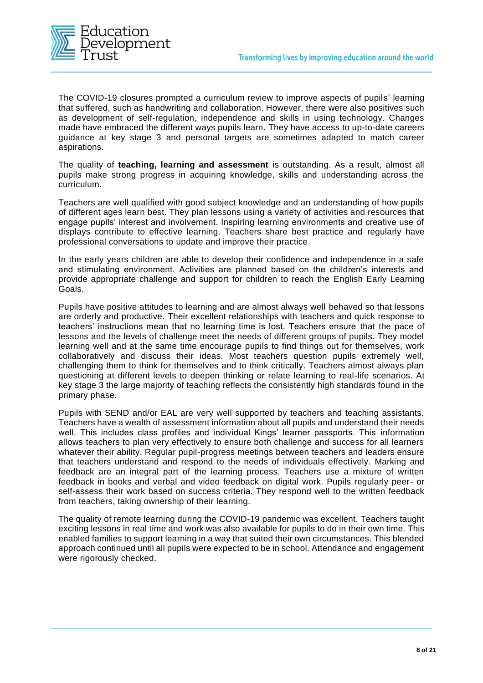

The COVID-19 closures prompted a curriculum review to improve aspects of pupils' learning that suffered, such as handwriting and collaboration. However, there were also positives such as development of self-regulation, independence and skills in using technology. Changes made have embraced the different ways pupils learn. They have access to up-to-date careers guidance at key stage 3 and personal targets are sometimes adapted to match career aspirations.

The quality of **teaching, learning and assessment** is outstanding. As a result, almost all pupils make strong progress in acquiring knowledge, skills and understanding across the curriculum.

Teachers are well qualified with good subject knowledge and an understanding of how pupils of different ages learn best. They plan lessons using a variety of activities and resources that engage pupils' interest and involvement. Inspiring learning environments and creative use of displays contribute to effective learning. Teachers share best practice and regularly have professional conversations to update and improve their practice.

In the early years children are able to develop their confidence and independence in a safe and stimulating environment. Activities are planned based on the children's interests and provide appropriate challenge and support for children to reach the English Early Learning Goals.

Pupils have positive attitudes to learning and are almost always well behaved so that lessons are orderly and productive. Their excellent relationships with teachers and quick response to teachers' instructions mean that no learning time is lost. Teachers ensure that the pace of lessons and the levels of challenge meet the needs of different groups of pupils. They model learning well and at the same time encourage pupils to find things out for themselves, work collaboratively and discuss their ideas. Most teachers question pupils extremely well, challenging them to think for themselves and to think critically. Teachers almost always plan questioning at different levels to deepen thinking or relate learning to real-life scenarios. At key stage 3 the large majority of teaching reflects the consistently high standards found in the primary phase.

Pupils with SEND and/or EAL are very well supported by teachers and teaching assistants. Teachers have a wealth of assessment information about all pupils and understand their needs well. This includes class profiles and individual Kings' learner passports. This information allows teachers to plan very effectively to ensure both challenge and success for all learners whatever their ability. Regular pupil-progress meetings between teachers and leaders ensure that teachers understand and respond to the needs of individuals effectively. Marking and feedback are an integral part of the learning process. Teachers use a mixture of written feedback in books and verbal and video feedback on digital work. Pupils regularly peer- or self-assess their work based on success criteria. They respond well to the written feedback from teachers, taking ownership of their learning.

The quality of remote learning during the COVID-19 pandemic was excellent. Teachers taught exciting lessons in real time and work was also available for pupils to do in their own time. This enabled families to support learning in a way that suited their own circumstances. This blended approach continued until all pupils were expected to be in school. Attendance and engagement were rigorously checked.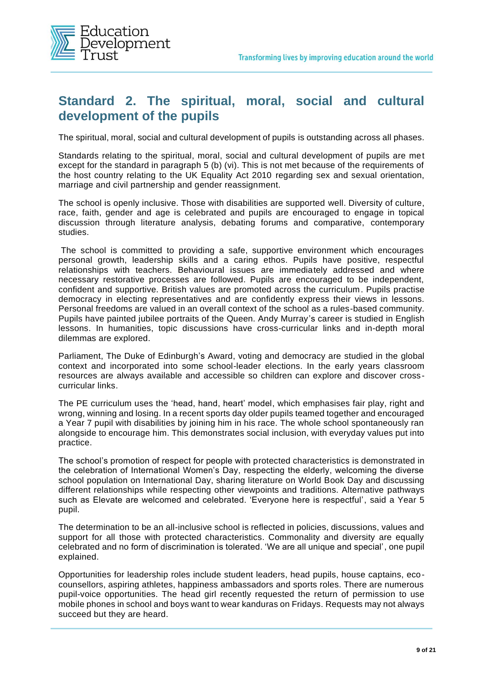

### **Standard 2. The spiritual, moral, social and cultural development of the pupils**

The spiritual, moral, social and cultural development of pupils is outstanding across all phases.

Standards relating to the spiritual, moral, social and cultural development of pupils are met except for the standard in paragraph 5 (b) (vi). This is not met because of the requirements of the host country relating to the UK Equality Act 2010 regarding sex and sexual orientation, marriage and civil partnership and gender reassignment.

The school is openly inclusive. Those with disabilities are supported well. Diversity of culture, race, faith, gender and age is celebrated and pupils are encouraged to engage in topical discussion through literature analysis, debating forums and comparative, contemporary studies.

The school is committed to providing a safe, supportive environment which encourages personal growth, leadership skills and a caring ethos. Pupils have positive, respectful relationships with teachers. Behavioural issues are immediately addressed and where necessary restorative processes are followed. Pupils are encouraged to be independent, confident and supportive. British values are promoted across the curriculum. Pupils practise democracy in electing representatives and are confidently express their views in lessons. Personal freedoms are valued in an overall context of the school as a rules-based community. Pupils have painted jubilee portraits of the Queen. Andy Murray's career is studied in English lessons. In humanities, topic discussions have cross-curricular links and in-depth moral dilemmas are explored.

Parliament, The Duke of Edinburgh's Award, voting and democracy are studied in the global context and incorporated into some school-leader elections. In the early years classroom resources are always available and accessible so children can explore and discover crosscurricular links.

The PE curriculum uses the 'head, hand, heart' model, which emphasises fair play, right and wrong, winning and losing. In a recent sports day older pupils teamed together and encouraged a Year 7 pupil with disabilities by joining him in his race. The whole school spontaneously ran alongside to encourage him. This demonstrates social inclusion, with everyday values put into practice.

The school's promotion of respect for people with protected characteristics is demonstrated in the celebration of International Women's Day, respecting the elderly, welcoming the diverse school population on International Day, sharing literature on World Book Day and discussing different relationships while respecting other viewpoints and traditions. Alternative pathways such as Elevate are welcomed and celebrated. 'Everyone here is respectful', said a Year 5 pupil.

The determination to be an all-inclusive school is reflected in policies, discussions, values and support for all those with protected characteristics. Commonality and diversity are equally celebrated and no form of discrimination is tolerated. 'We are all unique and special', one pupil explained.

Opportunities for leadership roles include student leaders, head pupils, house captains, ecocounsellors, aspiring athletes, happiness ambassadors and sports roles. There are numerous pupil-voice opportunities. The head girl recently requested the return of permission to use mobile phones in school and boys want to wear kanduras on Fridays. Requests may not always succeed but they are heard.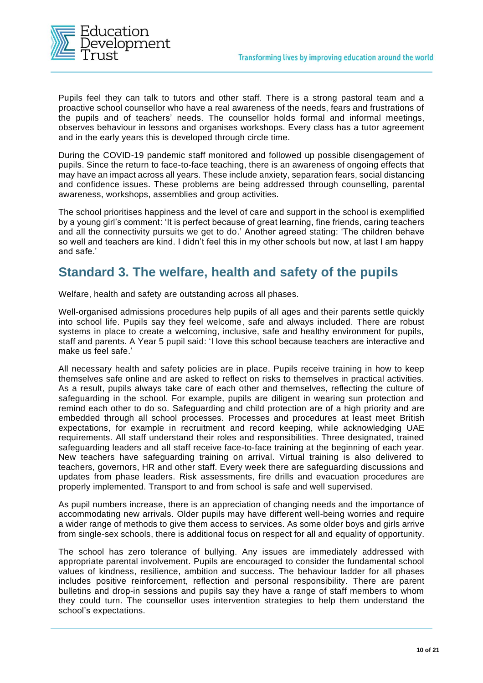

Pupils feel they can talk to tutors and other staff. There is a strong pastoral team and a proactive school counsellor who have a real awareness of the needs, fears and frustrations of the pupils and of teachers' needs. The counsellor holds formal and informal meetings, observes behaviour in lessons and organises workshops. Every class has a tutor agreement and in the early years this is developed through circle time.

During the COVID-19 pandemic staff monitored and followed up possible disengagement of pupils. Since the return to face-to-face teaching, there is an awareness of ongoing effects that may have an impact across all years. These include anxiety, separation fears, social distancing and confidence issues. These problems are being addressed through counselling, parental awareness, workshops, assemblies and group activities.

The school prioritises happiness and the level of care and support in the school is exemplified by a young girl's comment: 'It is perfect because of great learning, fine friends, caring teachers and all the connectivity pursuits we get to do.' Another agreed stating: 'The children behave so well and teachers are kind. I didn't feel this in my other schools but now, at last I am happy and safe.'

### **Standard 3. The welfare, health and safety of the pupils**

Welfare, health and safety are outstanding across all phases.

Well-organised admissions procedures help pupils of all ages and their parents settle quickly into school life. Pupils say they feel welcome, safe and always included. There are robust systems in place to create a welcoming, inclusive, safe and healthy environment for pupils, staff and parents. A Year 5 pupil said: 'I love this school because teachers are interactive and make us feel safe.'

All necessary health and safety policies are in place. Pupils receive training in how to keep themselves safe online and are asked to reflect on risks to themselves in practical activities. As a result, pupils always take care of each other and themselves, reflecting the culture of safeguarding in the school. For example, pupils are diligent in wearing sun protection and remind each other to do so. Safeguarding and child protection are of a high priority and are embedded through all school processes. Processes and procedures at least meet British expectations, for example in recruitment and record keeping, while acknowledging UAE requirements. All staff understand their roles and responsibilities. Three designated, trained safeguarding leaders and all staff receive face-to-face training at the beginning of each year. New teachers have safeguarding training on arrival. Virtual training is also delivered to teachers, governors, HR and other staff. Every week there are safeguarding discussions and updates from phase leaders. Risk assessments, fire drills and evacuation procedures are properly implemented. Transport to and from school is safe and well supervised.

As pupil numbers increase, there is an appreciation of changing needs and the importance of accommodating new arrivals. Older pupils may have different well-being worries and require a wider range of methods to give them access to services. As some older boys and girls arrive from single-sex schools, there is additional focus on respect for all and equality of opportunity.

The school has zero tolerance of bullying. Any issues are immediately addressed with appropriate parental involvement. Pupils are encouraged to consider the fundamental school values of kindness, resilience, ambition and success. The behaviour ladder for all phases includes positive reinforcement, reflection and personal responsibility. There are parent bulletins and drop-in sessions and pupils say they have a range of staff members to whom they could turn. The counsellor uses intervention strategies to help them understand the school's expectations.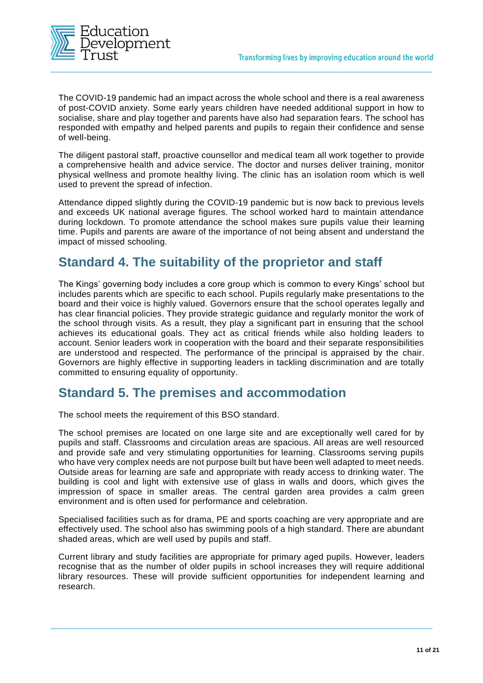

The COVID-19 pandemic had an impact across the whole school and there is a real awareness of post-COVID anxiety. Some early years children have needed additional support in how to socialise, share and play together and parents have also had separation fears. The school has responded with empathy and helped parents and pupils to regain their confidence and sense of well-being.

The diligent pastoral staff, proactive counsellor and medical team all work together to provide a comprehensive health and advice service. The doctor and nurses deliver training, monitor physical wellness and promote healthy living. The clinic has an isolation room which is well used to prevent the spread of infection.

Attendance dipped slightly during the COVID-19 pandemic but is now back to previous levels and exceeds UK national average figures. The school worked hard to maintain attendance during lockdown. To promote attendance the school makes sure pupils value their learning time. Pupils and parents are aware of the importance of not being absent and understand the impact of missed schooling.

### **Standard 4. The suitability of the proprietor and staff**

The Kings' governing body includes a core group which is common to every Kings' school but includes parents which are specific to each school. Pupils regularly make presentations to the board and their voice is highly valued. Governors ensure that the school operates legally and has clear financial policies. They provide strategic guidance and regularly monitor the work of the school through visits. As a result, they play a significant part in ensuring that the school achieves its educational goals. They act as critical friends while also holding leaders to account. Senior leaders work in cooperation with the board and their separate responsibilities are understood and respected. The performance of the principal is appraised by the chair. Governors are highly effective in supporting leaders in tackling discrimination and are totally committed to ensuring equality of opportunity.

#### **Standard 5. The premises and accommodation**

The school meets the requirement of this BSO standard.

The school premises are located on one large site and are exceptionally well cared for by pupils and staff. Classrooms and circulation areas are spacious. All areas are well resourced and provide safe and very stimulating opportunities for learning. Classrooms serving pupils who have very complex needs are not purpose built but have been well adapted to meet needs. Outside areas for learning are safe and appropriate with ready access to drinking water. The building is cool and light with extensive use of glass in walls and doors, which gives the impression of space in smaller areas. The central garden area provides a calm green environment and is often used for performance and celebration.

Specialised facilities such as for drama, PE and sports coaching are very appropriate and are effectively used. The school also has swimming pools of a high standard. There are abundant shaded areas, which are well used by pupils and staff.

Current library and study facilities are appropriate for primary aged pupils. However, leaders recognise that as the number of older pupils in school increases they will require additional library resources. These will provide sufficient opportunities for independent learning and research.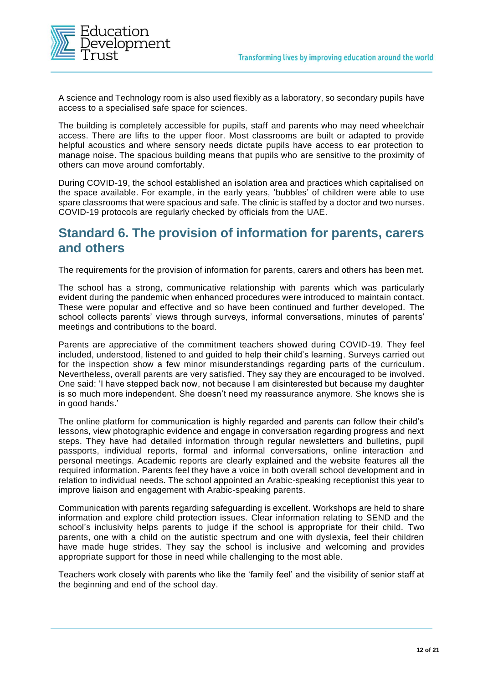

A science and Technology room is also used flexibly as a laboratory, so secondary pupils have access to a specialised safe space for sciences.

The building is completely accessible for pupils, staff and parents who may need wheelchair access. There are lifts to the upper floor. Most classrooms are built or adapted to provide helpful acoustics and where sensory needs dictate pupils have access to ear protection to manage noise. The spacious building means that pupils who are sensitive to the proximity of others can move around comfortably.

During COVID-19, the school established an isolation area and practices which capitalised on the space available. For example, in the early years, 'bubbles' of children were able to use spare classrooms that were spacious and safe. The clinic is staffed by a doctor and two nurses. COVID-19 protocols are regularly checked by officials from the UAE.

#### **Standard 6. The provision of information for parents, carers and others**

The requirements for the provision of information for parents, carers and others has been met.

The school has a strong, communicative relationship with parents which was particularly evident during the pandemic when enhanced procedures were introduced to maintain contact. These were popular and effective and so have been continued and further developed. The school collects parents' views through surveys, informal conversations, minutes of parents' meetings and contributions to the board.

Parents are appreciative of the commitment teachers showed during COVID-19. They feel included, understood, listened to and guided to help their child's learning. Surveys carried out for the inspection show a few minor misunderstandings regarding parts of the curriculum. Nevertheless, overall parents are very satisfied. They say they are encouraged to be involved. One said: 'I have stepped back now, not because I am disinterested but because my daughter is so much more independent. She doesn't need my reassurance anymore. She knows she is in good hands.'

The online platform for communication is highly regarded and parents can follow their child's lessons, view photographic evidence and engage in conversation regarding progress and next steps. They have had detailed information through regular newsletters and bulletins, pupil passports, individual reports, formal and informal conversations, online interaction and personal meetings. Academic reports are clearly explained and the website features all the required information. Parents feel they have a voice in both overall school development and in relation to individual needs. The school appointed an Arabic-speaking receptionist this year to improve liaison and engagement with Arabic-speaking parents.

Communication with parents regarding safeguarding is excellent. Workshops are held to share information and explore child protection issues. Clear information relating to SEND and the school's inclusivity helps parents to judge if the school is appropriate for their child. Two parents, one with a child on the autistic spectrum and one with dyslexia, feel their children have made huge strides. They say the school is inclusive and welcoming and provides appropriate support for those in need while challenging to the most able.

Teachers work closely with parents who like the 'family feel' and the visibility of senior staff at the beginning and end of the school day.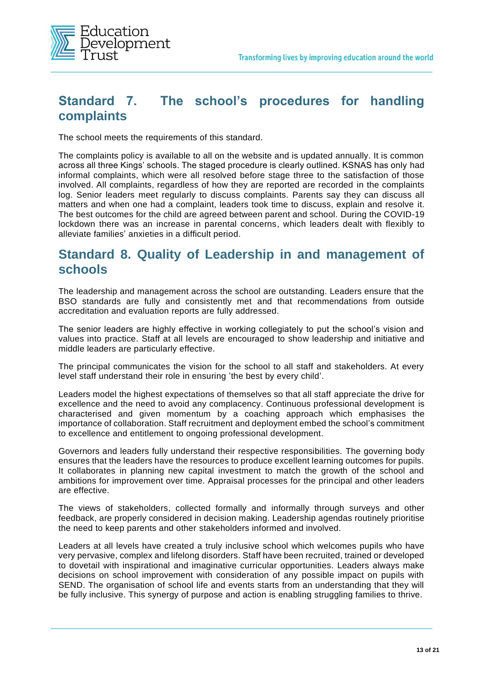

## **Standard 7. The school's procedures for handling complaints**

The school meets the requirements of this standard.

The complaints policy is available to all on the website and is updated annually. It is common across all three Kings' schools. The staged procedure is clearly outlined. KSNAS has only had informal complaints, which were all resolved before stage three to the satisfaction of those involved. All complaints, regardless of how they are reported are recorded in the complaints log. Senior leaders meet regularly to discuss complaints. Parents say they can discuss all matters and when one had a complaint, leaders took time to discuss, explain and resolve it. The best outcomes for the child are agreed between parent and school. During the COVID-19 lockdown there was an increase in parental concerns, which leaders dealt with flexibly to alleviate families' anxieties in a difficult period.

#### **Standard 8. Quality of Leadership in and management of schools**

The leadership and management across the school are outstanding. Leaders ensure that the BSO standards are fully and consistently met and that recommendations from outside accreditation and evaluation reports are fully addressed.

The senior leaders are highly effective in working collegiately to put the school's vision and values into practice. Staff at all levels are encouraged to show leadership and initiative and middle leaders are particularly effective.

The principal communicates the vision for the school to all staff and stakeholders. At every level staff understand their role in ensuring 'the best by every child'.

Leaders model the highest expectations of themselves so that all staff appreciate the drive for excellence and the need to avoid any complacency. Continuous professional development is characterised and given momentum by a coaching approach which emphasises the importance of collaboration. Staff recruitment and deployment embed the school's commitment to excellence and entitlement to ongoing professional development.

Governors and leaders fully understand their respective responsibilities. The governing body ensures that the leaders have the resources to produce excellent learning outcomes for pupils. It collaborates in planning new capital investment to match the growth of the school and ambitions for improvement over time. Appraisal processes for the principal and other leaders are effective.

The views of stakeholders, collected formally and informally through surveys and other feedback, are properly considered in decision making. Leadership agendas routinely prioritise the need to keep parents and other stakeholders informed and involved.

Leaders at all levels have created a truly inclusive school which welcomes pupils who have very pervasive, complex and lifelong disorders. Staff have been recruited, trained or developed to dovetail with inspirational and imaginative curricular opportunities. Leaders always make decisions on school improvement with consideration of any possible impact on pupils with SEND. The organisation of school life and events starts from an understanding that they will be fully inclusive. This synergy of purpose and action is enabling struggling families to thrive.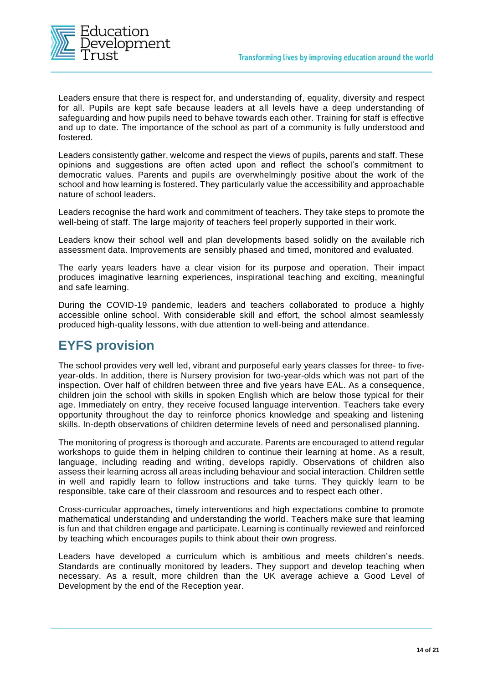

Leaders ensure that there is respect for, and understanding of, equality, diversity and respect for all. Pupils are kept safe because leaders at all levels have a deep understanding of safeguarding and how pupils need to behave towards each other. Training for staff is effective and up to date. The importance of the school as part of a community is fully understood and fostered.

Leaders consistently gather, welcome and respect the views of pupils, parents and staff. These opinions and suggestions are often acted upon and reflect the school's commitment to democratic values. Parents and pupils are overwhelmingly positive about the work of the school and how learning is fostered. They particularly value the accessibility and approachable nature of school leaders.

Leaders recognise the hard work and commitment of teachers. They take steps to promote the well-being of staff. The large majority of teachers feel properly supported in their work.

Leaders know their school well and plan developments based solidly on the available rich assessment data. Improvements are sensibly phased and timed, monitored and evaluated.

The early years leaders have a clear vision for its purpose and operation. Their impact produces imaginative learning experiences, inspirational teaching and exciting, meaningful and safe learning.

During the COVID-19 pandemic, leaders and teachers collaborated to produce a highly accessible online school. With considerable skill and effort, the school almost seamlessly produced high-quality lessons, with due attention to well-being and attendance.

## **EYFS provision**

The school provides very well led, vibrant and purposeful early years classes for three- to fiveyear-olds. In addition, there is Nursery provision for two-year-olds which was not part of the inspection. Over half of children between three and five years have EAL. As a consequence, children join the school with skills in spoken English which are below those typical for their age. Immediately on entry, they receive focused language intervention. Teachers take every opportunity throughout the day to reinforce phonics knowledge and speaking and listening skills. In-depth observations of children determine levels of need and personalised planning.

The monitoring of progress is thorough and accurate. Parents are encouraged to attend regular workshops to guide them in helping children to continue their learning at home. As a result, language, including reading and writing, develops rapidly. Observations of children also assess their learning across all areas including behaviour and social interaction. Children settle in well and rapidly learn to follow instructions and take turns. They quickly learn to be responsible, take care of their classroom and resources and to respect each other.

Cross-curricular approaches, timely interventions and high expectations combine to promote mathematical understanding and understanding the world. Teachers make sure that learning is fun and that children engage and participate. Learning is continually reviewed and reinforced by teaching which encourages pupils to think about their own progress.

Leaders have developed a curriculum which is ambitious and meets children's needs. Standards are continually monitored by leaders. They support and develop teaching when necessary. As a result, more children than the UK average achieve a Good Level of Development by the end of the Reception year.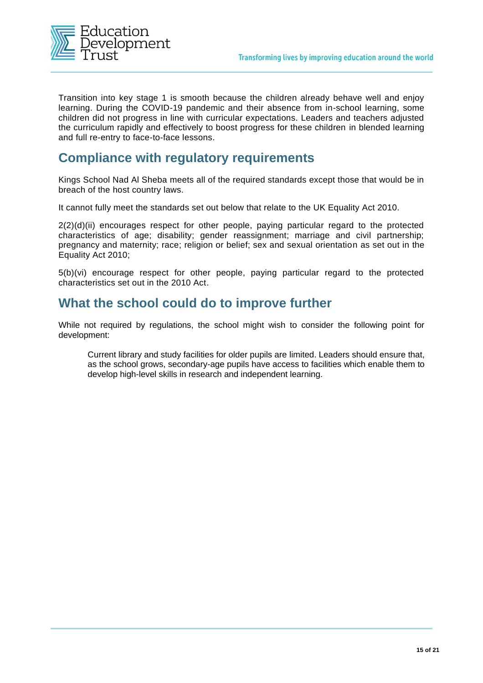

Transition into key stage 1 is smooth because the children already behave well and enjoy learning. During the COVID-19 pandemic and their absence from in-school learning, some children did not progress in line with curricular expectations. Leaders and teachers adjusted the curriculum rapidly and effectively to boost progress for these children in blended learning and full re-entry to face-to-face lessons.

### **Compliance with regulatory requirements**

Kings School Nad Al Sheba meets all of the required standards except those that would be in breach of the host country laws.

It cannot fully meet the standards set out below that relate to the UK Equality Act 2010.

2(2)(d)(ii) encourages respect for other people, paying particular regard to the protected characteristics of age; disability; gender reassignment; marriage and civil partnership; pregnancy and maternity; race; religion or belief; sex and sexual orientation as set out in the Equality Act 2010;

5(b)(vi) encourage respect for other people, paying particular regard to the protected characteristics set out in the 2010 Act.

#### **What the school could do to improve further**

While not required by regulations, the school might wish to consider the following point for development:

Current library and study facilities for older pupils are limited. Leaders should ensure that, as the school grows, secondary-age pupils have access to facilities which enable them to develop high-level skills in research and independent learning.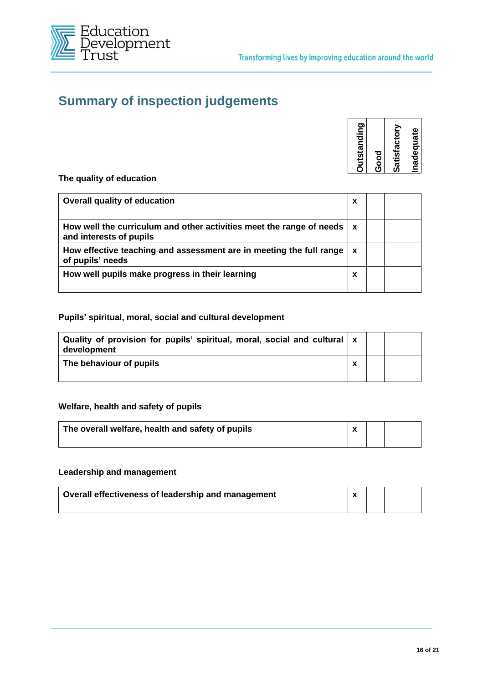

## **Summary of inspection judgements**

| nadequate<br>Ŵ |
|----------------|
|----------------|

**The quality of education**

| Overall quality of education                                                                                    | x |  |  |
|-----------------------------------------------------------------------------------------------------------------|---|--|--|
| How well the curriculum and other activities meet the range of needs $\vert x \vert$<br>and interests of pupils |   |  |  |
| How effective teaching and assessment are in meeting the full range<br>of pupils' needs                         | X |  |  |
| How well pupils make progress in their learning                                                                 | x |  |  |

#### **Pupils' spiritual, moral, social and cultural development**

| Quality of provision for pupils' spiritual, moral, social and cultural $\mathbf x$<br>development |   |  |  |
|---------------------------------------------------------------------------------------------------|---|--|--|
| The behaviour of pupils                                                                           | Y |  |  |

#### **Welfare, health and safety of pupils**

| The overall welfare, health and safety of pupils |  |  |
|--------------------------------------------------|--|--|
|                                                  |  |  |

#### **Leadership and management**

| Dverall effectiveness of leadership and management |  |  |
|----------------------------------------------------|--|--|
|                                                    |  |  |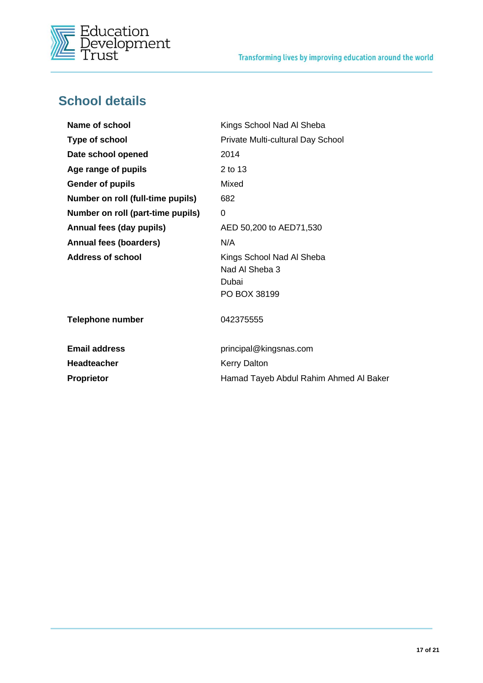

# **School details**

| Name of school                    | Kings School Nad Al Sheba                                            |
|-----------------------------------|----------------------------------------------------------------------|
| Type of school                    | Private Multi-cultural Day School                                    |
| Date school opened                | 2014                                                                 |
| Age range of pupils               | 2 to 13                                                              |
| <b>Gender of pupils</b>           | Mixed                                                                |
| Number on roll (full-time pupils) | 682                                                                  |
| Number on roll (part-time pupils) | 0                                                                    |
| Annual fees (day pupils)          | AED 50,200 to AED71,530                                              |
| <b>Annual fees (boarders)</b>     | N/A                                                                  |
| Address of school                 | Kings School Nad Al Sheba<br>Nad Al Sheba 3<br>Dubai<br>PO BOX 38199 |
| <b>Telephone number</b>           | 042375555                                                            |
| <b>Email address</b>              | principal@kingsnas.com                                               |
| <b>Headteacher</b>                | <b>Kerry Dalton</b>                                                  |
| Proprietor                        | Hamad Tayeb Abdul Rahim Ahmed Al Baker                               |
|                                   |                                                                      |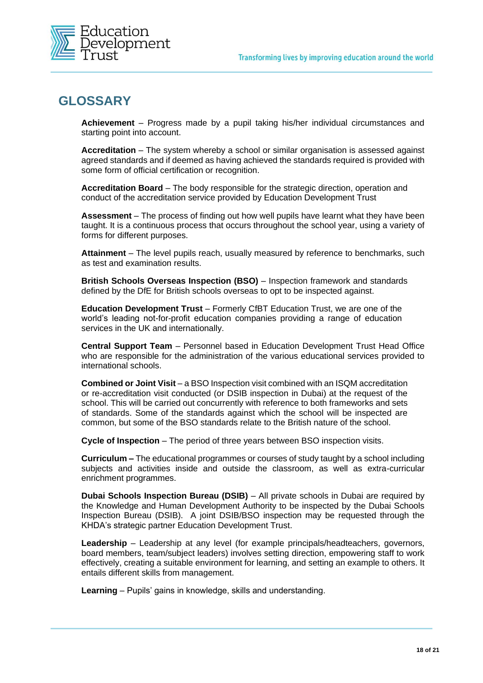

## **GLOSSARY**

**Achievement** – Progress made by a pupil taking his/her individual circumstances and starting point into account.

**Accreditation** – The system whereby a school or similar organisation is assessed against agreed standards and if deemed as having achieved the standards required is provided with some form of official certification or recognition.

**Accreditation Board** – The body responsible for the strategic direction, operation and conduct of the accreditation service provided by Education Development Trust

**Assessment** – The process of finding out how well pupils have learnt what they have been taught. It is a continuous process that occurs throughout the school year, using a variety of forms for different purposes.

**Attainment** – The level pupils reach, usually measured by reference to benchmarks, such as test and examination results.

**British Schools Overseas Inspection (BSO)** – Inspection framework and standards defined by the DfE for British schools overseas to opt to be inspected against.

**Education Development Trust** – Formerly CfBT Education Trust, we are one of the world's leading not-for-profit education companies providing a range of education services in the UK and internationally.

**Central Support Team** – Personnel based in Education Development Trust Head Office who are responsible for the administration of the various educational services provided to international schools.

**Combined or Joint Visit** – a BSO Inspection visit combined with an ISQM accreditation or re-accreditation visit conducted (or DSIB inspection in Dubai) at the request of the school. This will be carried out concurrently with reference to both frameworks and sets of standards. Some of the standards against which the school will be inspected are common, but some of the BSO standards relate to the British nature of the school.

**Cycle of Inspection** – The period of three years between BSO inspection visits.

**Curriculum –** The educational programmes or courses of study taught by a school including subjects and activities inside and outside the classroom, as well as extra-curricular enrichment programmes.

**Dubai Schools Inspection Bureau (DSIB)** – All private schools in Dubai are required by the Knowledge and Human Development Authority to be inspected by the Dubai Schools Inspection Bureau (DSIB). A joint DSIB/BSO inspection may be requested through the KHDA's strategic partner Education Development Trust.

**Leadership** – Leadership at any level (for example principals/headteachers, governors, board members, team/subject leaders) involves setting direction, empowering staff to work effectively, creating a suitable environment for learning, and setting an example to others. It entails different skills from management.

**Learning** – Pupils' gains in knowledge, skills and understanding.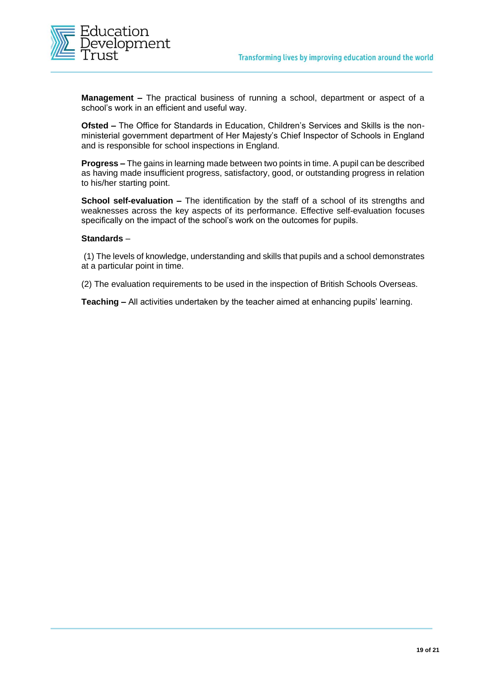

**Management –** The practical business of running a school, department or aspect of a school's work in an efficient and useful way.

**Ofsted –** The Office for Standards in Education, Children's Services and Skills is the nonministerial government department of Her Majesty's Chief Inspector of Schools in England and is responsible for school inspections in England.

**Progress –** The gains in learning made between two points in time. A pupil can be described as having made insufficient progress, satisfactory, good, or outstanding progress in relation to his/her starting point.

**School self-evaluation –** The identification by the staff of a school of its strengths and weaknesses across the key aspects of its performance. Effective self-evaluation focuses specifically on the impact of the school's work on the outcomes for pupils.

#### **Standards** –

(1) The levels of knowledge, understanding and skills that pupils and a school demonstrates at a particular point in time.

(2) The evaluation requirements to be used in the inspection of British Schools Overseas.

**Teaching –** All activities undertaken by the teacher aimed at enhancing pupils' learning.